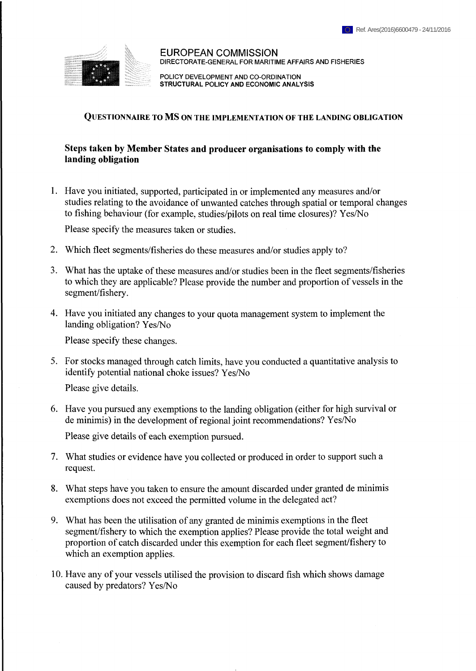

**EUROPEAN COMMISSION DIRECTORATE-GENERAL FOR MARITIME AFFAIRS AND FISHERIES**

**POLICY DEVELOPMENT AND CO-ORDINATION STRUCTURAL POLICY AND ECONOMIC ANALYSIS**

#### **Questionnaire to MS on the implementation of the landing obligation**

## **Steps taken by Member States and producer organisations to comply with the landing obligation**

1. Have you initiated, supported, participated in or implemented any measures and/or studies relating to the avoidance of unwanted catches through spatial or temporal changes to fishing behaviour (for example, studies/pilots on real time closures)? Yes/No

Please specify the measures taken or studies.

- 2. Which fleet segments/fisheries do these measures and/or studies apply to?
- 3. What has the uptake of these measures and/or studies been in the fleet segments/fisheries to which they are applicable? Please provide the number and proportion of vessels in the segment/fishery.
- 4. Have you initiated any changes to your quota management system to implement the landing obligation? Yes/No

Please specify these changes.

5. For stocks managed through catch limits, have you conducted a quantitative analysis to identify potential national choke issues? Yes/No

Please give details.

6. Have you pursued any exemptions to the landing obligation (either for high survival or de minimis) in the development of regional joint recommendations? Yes/No

Please give details of each exemption pursued.

- 7. What studies or evidence have you collected or produced in order to support such a request.
- 8. What steps have you taken to ensure the amount discarded under granted de minimis exemptions does not exceed the permitted volume in the delegated act?
- 9. What has been the utilisation of any granted de minimis exemptions in the fleet segment/flshery to which the exemption applies? Please provide the total weight and proportion of catch discarded under this exemption for each fleet segment/fishery to which an exemption applies.
- 10. Have any of your vessels utilised the provision to discard fish which shows damage caused by predators? Yes/No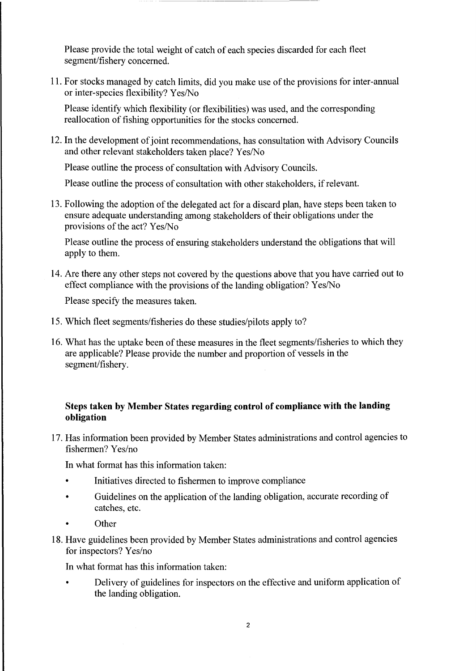Please provide the total weight of catch of each species discarded for each fleet segment/fishery concerned.

11. For stocks managed by catch limits, did you make use of the provisions for inter-annual or inter-species flexibility? Yes/No

Please identify which flexibility (or flexibilities) was used, and the corresponding reallocation of fishing opportunities for the stocks concerned.

12. In the development of joint recommendations, has consultation with Advisory Councils and other relevant stakeholders taken place? Yes/No

Please outline the process of consultation with Advisory Councils.

Please outline the process of consultation with other stakeholders, if relevant.

13. Following the adoption of the delegated act for a discard plan, have steps been taken to ensure adequate understanding among stakeholders of their obligations under the provisions of the act?  $Yes/No$ 

Please outline the process of ensuring stakeholders understand the obligations that will apply to them.

14. Are there any other steps not covered by the questions above that you have carried out to effect compliance with the provisions of the landing obligation? Yes/No

Please specify the measures taken.

- 15. Which fleet segments/fisheries do these studies/pilots apply to?
- 16. What has the uptake been of these measures in the fleet segments/fisheries to which they are applicable? Please provide the number and proportion of vessels in the segment/fishery.

## **Steps taken by Member States regarding control of compliance with the landing obligation**

17. Has information been provided by Member States administrations and control agencies to fishermen? Yes/no

In what format has this information taken:

- Initiatives directed to fishermen to improve compliance
- Guidelines on the application of the landing obligation, accurate recording of catches, etc.
- Other
- 18. Have guidelines been provided by Member States administrations and control agencies for inspectors? Yes/no

In what format has this information taken:

• Delivery of guidelines for inspectors on the effective and uniform application of the landing obligation.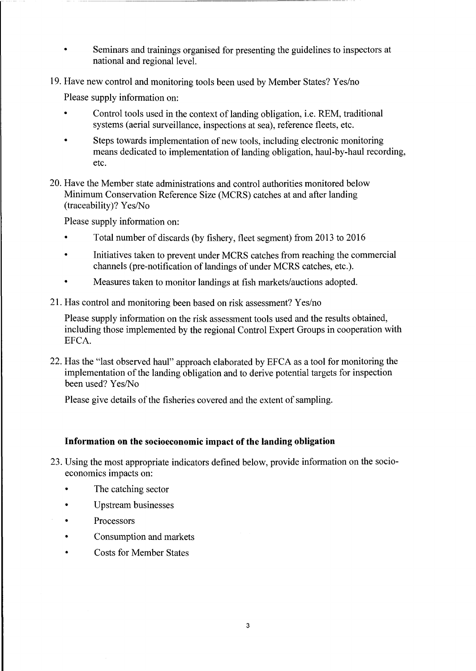- Seminars and trainings organised for presenting the guidelines to inspectors at national and regional level.
- 19. Have new control and monitoring tools been used by Member States? Yes/no

Please supply information on:

- Control tools used in the context of landing obligation, i.e. REM, traditional systems (aerial surveillance, inspections at sea), reference fleets, etc.
- Steps towards implementation of new tools, including electronic monitoring means dedicated to implementation of landing obligation, haul-by-haul recording, etc.
- 20. Have the Member state administrations and control authorities monitored below Minimum Conservation Reference Size (MCRS) catches at and after landing (traceability)? Yes/No

Please supply information on:

- Total number of discards (by fishery, fleet segment) from 2013 to 2016
- Initiatives taken to prevent under MCRS catches from reaching the commercial channels (pre-notification of landings of under MCRS catches, etc.).
- Measures taken to monitor landings at fish markets/auctions adopted.
- 21. Has control and monitoring been based on risk assessment? Yes/no

Please supply information on the risk assessment tools used and the results obtained, including those implemented by the regional Control Expert Groups in cooperation with EFCA.

22. Has the "last observed haul" approach elaborated by EFCA as a tool for monitoring the implementation of the landing obligation and to derive potential targets for inspection been used? Yes/No

Please give details of the fisheries covered and the extent of sampling.

#### **Information on the socioeconomic impact of the landing obligation**

- 23. Using the most appropriate indicators defined below, provide information on the socioeconomics impacts on:
	- The catching sector
	- Upstream businesses
	- **Processors**
	- Consumption and markets
	- Costs for Member States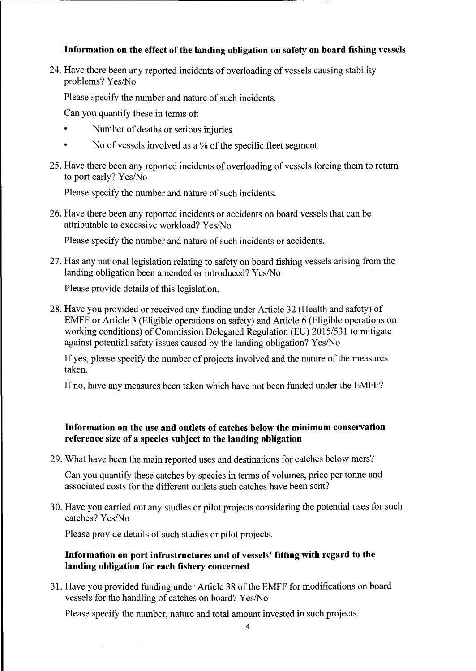# **Information** on the effect of the landing obligation on safety on board fishing vessels

24. Have there been any reported incidents of overloading of vessels causing stability problems? Yes/No

Please specify the number and nature of such incidents.

Can you quantify these in terms of:

- Number of deaths or serious injuries
- No of vessels involved as a  $%$  of the specific fleet segment
- 25. Have there been any reported incidents of overloading of vessels forcing them to return to port early? Yes/No

Please specify the number and nature of such incidents.

26. Have there been any reported incidents or accidents on board vessels that can be attributable to excessive workload? Yes/No

Please specify the number and nature of such incidents or accidents.

27. Has any national legislation relating to safety on board fishing vessels arising from the landing obligation been amended or introduced? Yes/No

Please provide details of this legislation.

28. Have you provided or received any funding under Article 32 (Health and safety) of EMFF or Article 3 (Eligible operations on safety) and Article 6 (Eligible operations on working conditions) of Commission Delegated Regulation (EU) 2015/531 to mitigate against potential safety issues caused by the landing obligation? Yes/No

If yes, please specify the number of projects involved and the nature of the measures taken.

If no, have any measures been taken which have not been funded under the EMFF?

# **Information on the use and outlets of catches below the minimum conservation reference size of a species subject to the landing obligation**

29. What have been the main reported uses and destinations for catches below mcrs?

Can you quantify these catches by species in terms of volumes, price per tonne and associated costs for the different outlets such catches have been sent?

30. Have you carried out any studies or pilot projects considering the potential uses for such catches? Yes/No

Please provide details of such studies or pilot projects.

# **Information on port infrastructures and of vessels' fitting with regard to the landing obligation for each fishery concerned**

31. Have you provided funding under Article 38 ofthe EMFF for modifications on board vessels for the handling of catches on board? Yes/No

Please specify the number, nature and total amount invested in such projects.